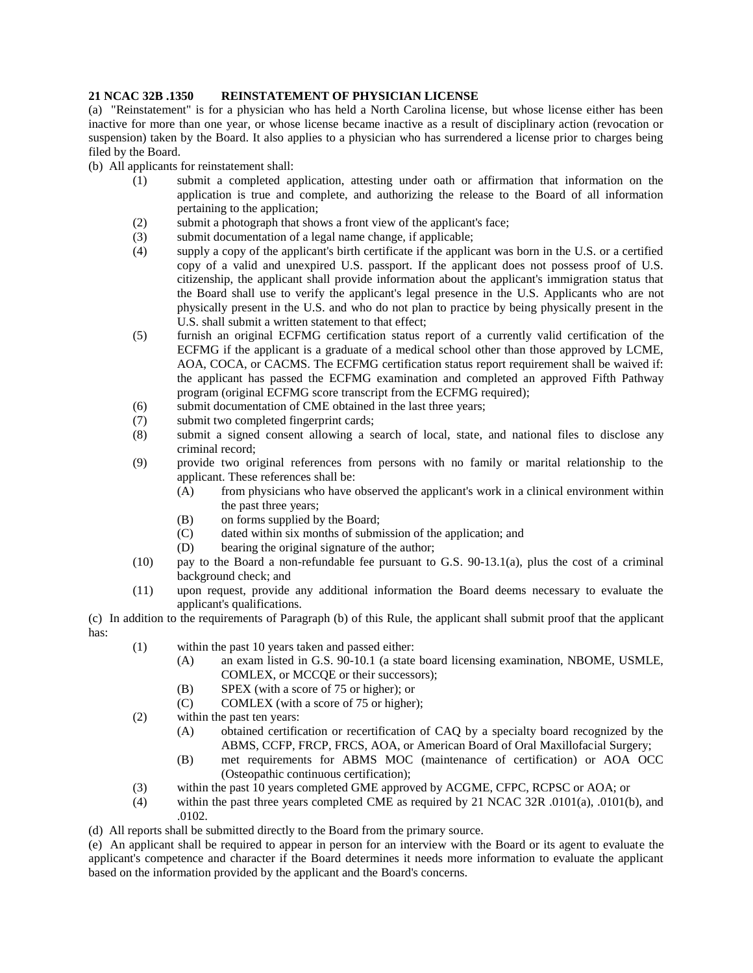## **21 NCAC 32B .1350 REINSTATEMENT OF PHYSICIAN LICENSE**

(a) "Reinstatement" is for a physician who has held a North Carolina license, but whose license either has been inactive for more than one year, or whose license became inactive as a result of disciplinary action (revocation or suspension) taken by the Board. It also applies to a physician who has surrendered a license prior to charges being filed by the Board.

(b) All applicants for reinstatement shall:

- (1) submit a completed application, attesting under oath or affirmation that information on the application is true and complete, and authorizing the release to the Board of all information pertaining to the application;
- (2) submit a photograph that shows a front view of the applicant's face;
- (3) submit documentation of a legal name change, if applicable;
- (4) supply a copy of the applicant's birth certificate if the applicant was born in the U.S. or a certified copy of a valid and unexpired U.S. passport. If the applicant does not possess proof of U.S. citizenship, the applicant shall provide information about the applicant's immigration status that the Board shall use to verify the applicant's legal presence in the U.S. Applicants who are not physically present in the U.S. and who do not plan to practice by being physically present in the U.S. shall submit a written statement to that effect;
- (5) furnish an original ECFMG certification status report of a currently valid certification of the ECFMG if the applicant is a graduate of a medical school other than those approved by LCME, AOA, COCA, or CACMS. The ECFMG certification status report requirement shall be waived if: the applicant has passed the ECFMG examination and completed an approved Fifth Pathway program (original ECFMG score transcript from the ECFMG required);
- (6) submit documentation of CME obtained in the last three years;
- (7) submit two completed fingerprint cards;
- (8) submit a signed consent allowing a search of local, state, and national files to disclose any criminal record;
- (9) provide two original references from persons with no family or marital relationship to the applicant. These references shall be:
	- (A) from physicians who have observed the applicant's work in a clinical environment within the past three years;
	- (B) on forms supplied by the Board;
	- (C) dated within six months of submission of the application; and
	- (D) bearing the original signature of the author;
- (10) pay to the Board a non-refundable fee pursuant to G.S. 90-13.1(a), plus the cost of a criminal background check; and
- (11) upon request, provide any additional information the Board deems necessary to evaluate the applicant's qualifications.

(c) In addition to the requirements of Paragraph (b) of this Rule, the applicant shall submit proof that the applicant has:

- (1) within the past 10 years taken and passed either:
	- (A) an exam listed in G.S. 90-10.1 (a state board licensing examination, NBOME, USMLE, COMLEX, or MCCQE or their successors);
	- (B) SPEX (with a score of 75 or higher); or
	- (C) COMLEX (with a score of 75 or higher);
- (2) within the past ten years:
	- (A) obtained certification or recertification of CAQ by a specialty board recognized by the ABMS, CCFP, FRCP, FRCS, AOA, or American Board of Oral Maxillofacial Surgery;
	- (B) met requirements for ABMS MOC (maintenance of certification) or AOA OCC (Osteopathic continuous certification);
- (3) within the past 10 years completed GME approved by ACGME, CFPC, RCPSC or AOA; or
- (4) within the past three years completed CME as required by 21 NCAC 32R .0101(a), .0101(b), and .0102.

(d) All reports shall be submitted directly to the Board from the primary source.

(e) An applicant shall be required to appear in person for an interview with the Board or its agent to evaluate the applicant's competence and character if the Board determines it needs more information to evaluate the applicant based on the information provided by the applicant and the Board's concerns.